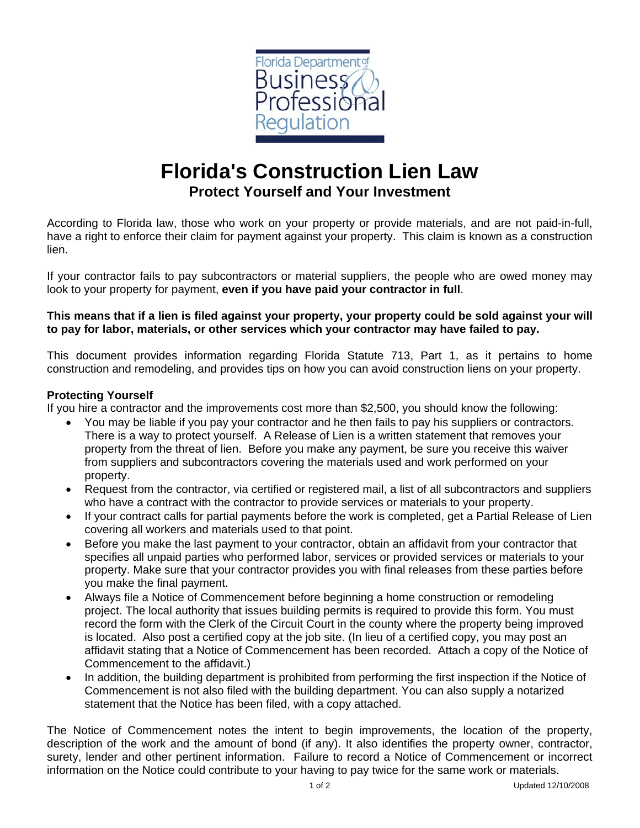

# **Florida's Construction Lien Law Protect Yourself and Your Investment**

According to Florida law, those who work on your property or provide materials, and are not paid-in-full, have a right to enforce their claim for payment against your property. This claim is known as a construction lien.

If your contractor fails to pay subcontractors or material suppliers, the people who are owed money may look to your property for payment, **even if you have paid your contractor in full**.

# **This means that if a lien is filed against your property, your property could be sold against your will to pay for labor, materials, or other services which your contractor may have failed to pay.**

This document provides information regarding Florida Statute 713, Part 1, as it pertains to home construction and remodeling, and provides tips on how you can avoid construction liens on your property.

## **Protecting Yourself**

If you hire a contractor and the improvements cost more than \$2,500, you should know the following:

- You may be liable if you pay your contractor and he then fails to pay his suppliers or contractors. There is a way to protect yourself. A Release of Lien is a written statement that removes your property from the threat of lien. Before you make any payment, be sure you receive this waiver from suppliers and subcontractors covering the materials used and work performed on your property.
- Request from the contractor, via certified or registered mail, a list of all subcontractors and suppliers who have a contract with the contractor to provide services or materials to your property.
- If your contract calls for partial payments before the work is completed, get a Partial Release of Lien covering all workers and materials used to that point.
- Before you make the last payment to your contractor, obtain an affidavit from your contractor that specifies all unpaid parties who performed labor, services or provided services or materials to your property. Make sure that your contractor provides you with final releases from these parties before you make the final payment.
- Always file a Notice of Commencement before beginning a home construction or remodeling project. The local authority that issues building permits is required to provide this form. You must record the form with the Clerk of the Circuit Court in the county where the property being improved is located. Also post a certified copy at the job site. (In lieu of a certified copy, you may post an affidavit stating that a Notice of Commencement has been recorded. Attach a copy of the Notice of Commencement to the affidavit.)
- In addition, the building department is prohibited from performing the first inspection if the Notice of Commencement is not also filed with the building department. You can also supply a notarized statement that the Notice has been filed, with a copy attached.

The Notice of Commencement notes the intent to begin improvements, the location of the property, description of the work and the amount of bond (if any). It also identifies the property owner, contractor, surety, lender and other pertinent information. Failure to record a Notice of Commencement or incorrect information on the Notice could contribute to your having to pay twice for the same work or materials.